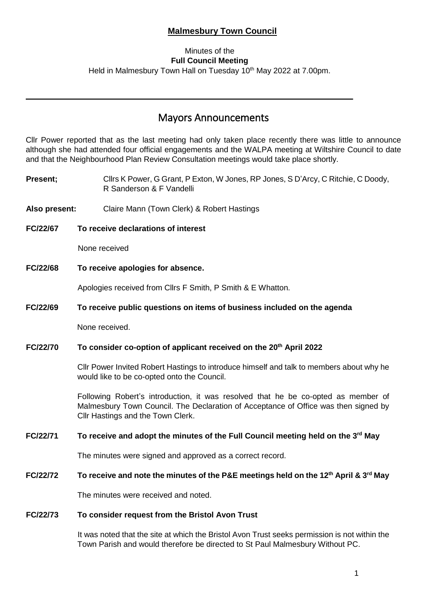## **Malmesbury Town Council**

### Minutes of the **Full Council Meeting**

Held in Malmesbury Town Hall on Tuesday 10<sup>th</sup> May 2022 at 7.00pm.

# Mayors Announcements

Cllr Power reported that as the last meeting had only taken place recently there was little to announce although she had attended four official engagements and the WALPA meeting at Wiltshire Council to date and that the Neighbourhood Plan Review Consultation meetings would take place shortly.

**Present;** Cllrs K Power, G Grant, P Exton, W Jones, RP Jones, S D'Arcy, C Ritchie, C Doody, R Sanderson & F Vandelli

**Also present:** Claire Mann (Town Clerk) & Robert Hastings

**FC/22/67 To receive declarations of interest**

None received

**FC/22/68 To receive apologies for absence.**

Apologies received from Cllrs F Smith, P Smith & E Whatton.

#### **FC/22/69 To receive public questions on items of business included on the agenda**

None received.

#### **FC/22/70 To consider co-option of applicant received on the 20th April 2022**

Cllr Power Invited Robert Hastings to introduce himself and talk to members about why he would like to be co-opted onto the Council.

Following Robert's introduction, it was resolved that he be co-opted as member of Malmesbury Town Council. The Declaration of Acceptance of Office was then signed by Cllr Hastings and the Town Clerk.

#### **FC/22/71 To receive and adopt the minutes of the Full Council meeting held on the 3 rd May**

The minutes were signed and approved as a correct record.

#### **FC/22/72 To receive and note the minutes of the P&E meetings held on the 12th April & 3rd May**

The minutes were received and noted.

#### **FC/22/73 To consider request from the Bristol Avon Trust**

It was noted that the site at which the Bristol Avon Trust seeks permission is not within the Town Parish and would therefore be directed to St Paul Malmesbury Without PC.

i,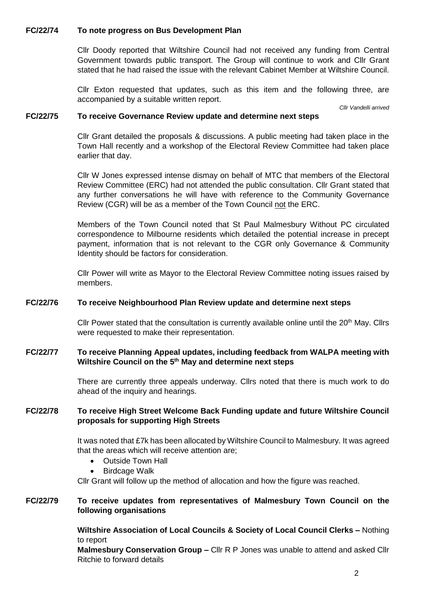#### **FC/22/74 To note progress on Bus Development Plan**

Cllr Doody reported that Wiltshire Council had not received any funding from Central Government towards public transport. The Group will continue to work and Cllr Grant stated that he had raised the issue with the relevant Cabinet Member at Wiltshire Council.

Cllr Exton requested that updates, such as this item and the following three, are accompanied by a suitable written report.

*Cllr Vandelli arrived*

#### **FC/22/75 To receive Governance Review update and determine next steps**

Cllr Grant detailed the proposals & discussions. A public meeting had taken place in the Town Hall recently and a workshop of the Electoral Review Committee had taken place earlier that day.

Cllr W Jones expressed intense dismay on behalf of MTC that members of the Electoral Review Committee (ERC) had not attended the public consultation. Cllr Grant stated that any further conversations he will have with reference to the Community Governance Review (CGR) will be as a member of the Town Council not the ERC.

Members of the Town Council noted that St Paul Malmesbury Without PC circulated correspondence to Milbourne residents which detailed the potential increase in precept payment, information that is not relevant to the CGR only Governance & Community Identity should be factors for consideration.

Cllr Power will write as Mayor to the Electoral Review Committee noting issues raised by members.

#### **FC/22/76 To receive Neighbourhood Plan Review update and determine next steps**

Cllr Power stated that the consultation is currently available online until the 20<sup>th</sup> May. Cllrs were requested to make their representation.

#### **FC/22/77 To receive Planning Appeal updates, including feedback from WALPA meeting with Wiltshire Council on the 5 th May and determine next steps**

There are currently three appeals underway. Cllrs noted that there is much work to do ahead of the inquiry and hearings.

#### **FC/22/78 To receive High Street Welcome Back Funding update and future Wiltshire Council proposals for supporting High Streets**

It was noted that £7k has been allocated by Wiltshire Council to Malmesbury. It was agreed that the areas which will receive attention are;

- Outside Town Hall
- **Birdcage Walk**

Cllr Grant will follow up the method of allocation and how the figure was reached.

#### **FC/22/79 To receive updates from representatives of Malmesbury Town Council on the following organisations**

**Wiltshire Association of Local Councils & Society of Local Council Clerks –** Nothing to report

**Malmesbury Conservation Group –** Cllr R P Jones was unable to attend and asked Cllr Ritchie to forward details